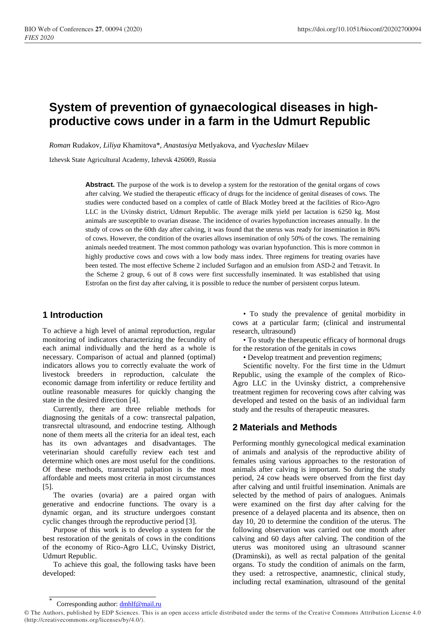# **System of prevention of gynaecological diseases in highproductive cows under in a farm in the Udmurt Republic**

*Roman* Rudakov*, Liliya* Khamitova\*, *Anastasiya* Metlyakova, and *Vyacheslav* Milaev

Izhevsk State Agricultural Academy, Izhevsk 426069, Russia

Abstract. The purpose of the work is to develop a system for the restoration of the genital organs of cows after calving. We studied the therapeutic efficacy of drugs for the incidence of genital diseases of cows. The studies were conducted based on a complex of cattle of Black Motley breed at the facilities of Rico-Agro LLC in the Uvinsky district, Udmurt Republic. The average milk yield per lactation is 6250 kg. Most animals are susceptible to ovarian disease. The incidence of ovaries hypofunction increases annually. In the study of cows on the 60th day after calving, it was found that the uterus was ready for insemination in 86% of cows. However, the condition of the ovaries allows insemination of only 50% of the cows. The remaining animals needed treatment. The most common pathology was ovarian hypofunction. This is more common in highly productive cows and cows with a low body mass index. Three regimens for treating ovaries have been tested. The most effective Scheme 2 included Surfagon and an emulsion from ASD-2 and Tetravit. In the Scheme 2 group, 6 out of 8 cows were first successfully inseminated. It was established that using Estrofan on the first day after calving, it is possible to reduce the number of persistent corpus luteum.

## **1 Introduction**

To achieve a high level of animal reproduction, regular monitoring of indicators characterizing the fecundity of each animal individually and the herd as a whole is necessary. Comparison of actual and planned (optimal) indicators allows you to correctly evaluate the work of livestock breeders in reproduction, calculate the economic damage from infertility or reduce fertility and outline reasonable measures for quickly changing the state in the desired direction [4].

Currently, there are three reliable methods for diagnosing the genitals of a cow: transrectal palpation, transrectal ultrasound, and endocrine testing. Although none of them meets all the criteria for an ideal test, each has its own advantages and disadvantages. The veterinarian should carefully review each test and determine which ones are most useful for the conditions. Of these methods, transrectal palpation is the most affordable and meets most criteria in most circumstances [5].

The ovaries (ovaria) are a paired organ with generative and endocrine functions. The ovary is a dynamic organ, and its structure undergoes constant cyclic changes through the reproductive period [3].

Purpose of this work is to develop a system for the best restoration of the genitals of cows in the conditions of the economy of Rico-Agro LLC, Uvinsky District, Udmurt Republic.

To achieve this goal, the following tasks have been developed:

• To study the prevalence of genital morbidity in cows at a particular farm; (clinical and instrumental research, ultrasound)

• To study the therapeutic efficacy of hormonal drugs for the restoration of the genitals in cows

• Develop treatment and prevention regimens;

Scientific novelty. For the first time in the Udmurt Republic, using the example of the complex of Rico-Agro LLC in the Uvinsky district, a comprehensive treatment regimen for recovering cows after calving was developed and tested on the basis of an individual farm study and the results of therapeutic measures.

# **2 Materials and Methods**

Performing monthly gynecological medical examination of animals and analysis of the reproductive ability of females using various approaches to the restoration of animals after calving is important. So during the study period, 24 cow heads were observed from the first day after calving and until fruitful insemination. Animals are selected by the method of pairs of analogues. Animals were examined on the first day after calving for the presence of a delayed placenta and its absence, then on day 10, 20 to determine the condition of the uterus. The following observation was carried out one month after calving and 60 days after calving. The condition of the uterus was monitored using an ultrasound scanner (Draminski), as well as rectal palpation of the genital organs. To study the condition of animals on the farm, they used: a retrospective, anamnestic, clinical study, including rectal examination, ultrasound of the genital

<sup>\*</sup> Corresponding author: dmhlf@mail.ru

<sup>©</sup> The Authors, published by EDP Sciences. This is an open access article distributed under the terms of the Creative Commons Attribution License 4.0 (http://creativecommons.org/licenses/by/4.0/).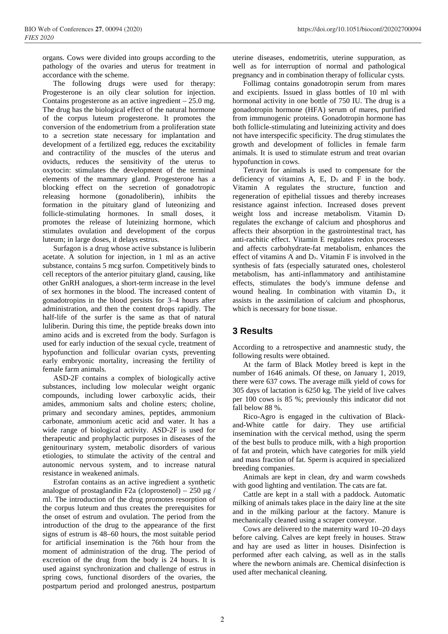organs. Cows were divided into groups according to the pathology of the ovaries and uterus for treatment in accordance with the scheme.

The following drugs were used for therapy: Progesterone is an oily clear solution for injection. Contains progesterone as an active ingredient  $-25.0$  mg. The drug has the biological effect of the natural hormone of the corpus luteum progesterone. It promotes the conversion of the endometrium from a proliferation state to a secretion state necessary for implantation and development of a fertilized egg, reduces the excitability and contractility of the muscles of the uterus and oviducts, reduces the sensitivity of the uterus to oxytocin: stimulates the development of the terminal elements of the mammary gland. Progesterone has a blocking effect on the secretion of gonadotropic releasing hormone (gonadoliberin), inhibits the formation in the pituitary gland of luteonizing and follicle-stimulating hormones. In small doses, it promotes the release of luteinizing hormone, which stimulates ovulation and development of the corpus luteum; in large doses, it delays estrus.

Surfagon is a drug whose active substance is luliberin acetate. A solution for injection, in 1 ml as an active substance, contains 5 mcg surfon. Competitively binds to cell receptors of the anterior pituitary gland, causing, like other GnRH analogues, a short-term increase in the level of sex hormones in the blood. The increased content of gonadotropins in the blood persists for 3–4 hours after administration, and then the content drops rapidly. The half-life of the surfer is the same as that of natural luliberin. During this time, the peptide breaks down into amino acids and is excreted from the body. Surfagon is used for early induction of the sexual cycle, treatment of hypofunction and follicular ovarian cysts, preventing early embryonic mortality, increasing the fertility of female farm animals.

ASD-2F contains a complex of biologically active substances, including low molecular weight organic compounds, including lower carboxylic acids, their amides, ammonium salts and choline esters; choline, primary and secondary amines, peptides, ammonium carbonate, ammonium acetic acid and water. It has a wide range of biological activity. ASD-2F is used for therapeutic and prophylactic purposes in diseases of the genitourinary system, metabolic disorders of various etiologies, to stimulate the activity of the central and autonomic nervous system, and to increase natural resistance in weakened animals.

Estrofan contains as an active ingredient a synthetic analogue of prostaglandin F2a (cloprostenol) – 250 μg / ml. The introduction of the drug promotes resorption of the corpus luteum and thus creates the prerequisites for the onset of estrum and ovulation. The period from the introduction of the drug to the appearance of the first signs of estrum is 48–60 hours, the most suitable period for artificial insemination is the 76th hour from the moment of administration of the drug. The period of excretion of the drug from the body is 24 hours. It is used against synchronization and challenge of estrus in spring cows, functional disorders of the ovaries, the postpartum period and prolonged anestrus, postpartum

uterine diseases, endometritis, uterine suppuration, as well as for interruption of normal and pathological pregnancy and in combination therapy of follicular cysts.

Follimag contains gonadotropin serum from mares and excipients. Issued in glass bottles of 10 ml with hormonal activity in one bottle of 750 IU. The drug is a gonadotropin hormone (HFA) serum of mares, purified from immunogenic proteins. Gonadotropin hormone has both follicle-stimulating and luteinizing activity and does not have interspecific specificity. The drug stimulates the growth and development of follicles in female farm animals. It is used to stimulate estrum and treat ovarian hypofunction in cows.

Tetravit for animals is used to compensate for the deficiency of vitamins  $A$ ,  $E$ ,  $D_3$  and  $F$  in the body. Vitamin A regulates the structure, function and regeneration of epithelial tissues and thereby increases resistance against infection. Increased doses prevent weight loss and increase metabolism. Vitamin D<sub>3</sub> regulates the exchange of calcium and phosphorus and affects their absorption in the gastrointestinal tract, has anti-rachitic effect. Vitamin E regulates redox processes and affects carbohydrate-fat metabolism, enhances the effect of vitamins A and D₃. Vitamin F is involved in the synthesis of fats (especially saturated ones, cholesterol metabolism, has anti-inflammatory and antihistamine effects, stimulates the body's immune defense and wound healing. In combination with vitamin D<sub>3</sub>, it assists in the assimilation of calcium and phosphorus, which is necessary for bone tissue.

# **3 Results**

According to a retrospective and anamnestic study, the following results were obtained.

At the farm of Black Motley breed is kept in the number of 1646 animals. Of these, on January 1, 2019, there were 637 cows. The average milk yield of cows for 305 days of lactation is 6250 kg. The yield of live calves per 100 cows is 85 %; previously this indicator did not fall below 88 %.

Rico-Agro is engaged in the cultivation of Blackand-White cattle for dairy. They use artificial insemination with the cervical method, using the sperm of the best bulls to produce milk, with a high proportion of fat and protein, which have categories for milk yield and mass fraction of fat. Sperm is acquired in specialized breeding companies.

Animals are kept in clean, dry and warm cowsheds with good lighting and ventilation. The cats are fat.

Cattle are kept in a stall with a paddock. Automatic milking of animals takes place in the dairy line at the site and in the milking parlour at the factory. Manure is mechanically cleaned using a scraper conveyor.

Cows are delivered to the maternity ward 10–20 days before calving. Calves are kept freely in houses. Straw and hay are used as litter in houses. Disinfection is performed after each calving, as well as in the stalls where the newborn animals are. Chemical disinfection is used after mechanical cleaning.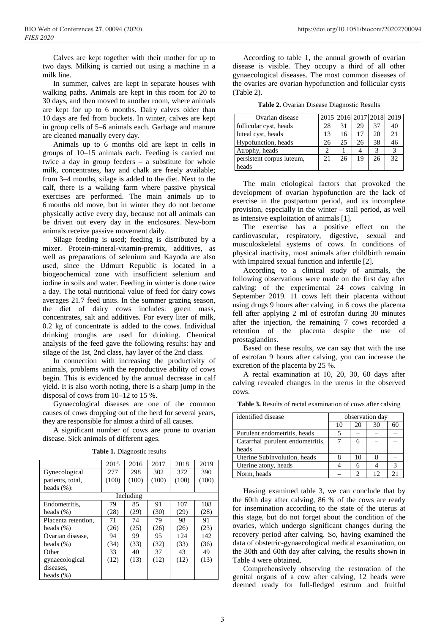Calves are kept together with their mother for up to two days. Milking is carried out using a machine in a milk line.

In summer, calves are kept in separate houses with walking paths. Animals are kept in this room for 20 to 30 days, and then moved to another room, where animals are kept for up to 6 months. Dairy calves older than 10 days are fed from buckets. In winter, calves are kept in group cells of 5–6 animals each. Garbage and manure are cleaned manually every day.

Animals up to 6 months old are kept in cells in groups of 10–15 animals each. Feeding is carried out twice a day in group feeders – a substitute for whole milk, concentrates, hay and chalk are freely available; from 3–4 months, silage is added to the diet. Next to the calf, there is a walking farm where passive physical exercises are performed. The main animals up to 6 months old move, but in winter they do not become physically active every day, because not all animals can be driven out every day in the enclosures. New-born animals receive passive movement daily.

Silage feeding is used; feeding is distributed by a mixer. Protein-mineral-vitamin-premix, additives, as well as preparations of selenium and Kayoda are also used, since the Udmurt Republic is located in a biogeochemical zone with insufficient selenium and iodine in soils and water. Feeding in winter is done twice a day. The total nutritional value of feed for dairy cows averages 21.7 feed units. In the summer grazing season, the diet of dairy cows includes: green mass, concentrates, salt and additives. For every liter of milk, 0.2 kg of concentrate is added to the cows. Individual drinking troughs are used for drinking. Chemical analysis of the feed gave the following results: hay and silage of the 1st, 2nd class, hay layer of the 2nd class.

In connection with increasing the productivity of animals, problems with the reproductive ability of cows begin. This is evidenced by the annual decrease in calf yield. It is also worth noting, there is a sharp jump in the disposal of cows from 10–12 to 15 %.

Gynaecological diseases are one of the common causes of cows dropping out of the herd for several years, they are responsible for almost a third of all causes.

A significant number of cows are prone to ovarian disease. Sick animals of different ages.

|                     | 2015  | 2016  | 2017  | 2018  | 2019  |  |  |
|---------------------|-------|-------|-------|-------|-------|--|--|
| Gynecological       | 277   | 298   | 302   | 372   | 390   |  |  |
| patients, total,    | (100) | (100) | (100) | (100) | (100) |  |  |
| heads $(\%):$       |       |       |       |       |       |  |  |
| Including           |       |       |       |       |       |  |  |
| Endometritis.       | 79    | 85    | 91    | 107   | 108   |  |  |
| heads $(\%)$        | (28)  | (29)  | (30)  | (29)  | (28)  |  |  |
| Placenta retention, | 71    | 74    | 79    | 98    | 91    |  |  |
| heads $(\%)$        | (26)  | (25)  | (26)  | (26)  | (23)  |  |  |
| Ovarian disease,    | 94    | 99    | 95    | 124   | 142   |  |  |
| heads $(\%)$        | (34)  | (33)  | (32)  | (33)  | (36)  |  |  |
| Other               | 33    | 40    | 37    | 43    | 49    |  |  |
| gynaecological      | (12)  | (13)  | (12)  | (12)  | (13)  |  |  |
| diseases.           |       |       |       |       |       |  |  |
| heads $(\%)$        |       |       |       |       |       |  |  |

According to table 1, the annual growth of ovarian disease is visible. They occupy a third of all other gynaecological diseases. The most common diseases of the ovaries are ovarian hypofunction and follicular cysts (Table 2).

**Table 2.** Ovarian Disease Diagnostic Results

| Ovarian disease           |    |    |    |    | 2015 2016 2017 2018 2019 |
|---------------------------|----|----|----|----|--------------------------|
| follicular cyst, heads    | 28 | 31 | 29 | 37 | 40                       |
| luteal cyst, heads        | 13 | 16 |    | 20 | 21                       |
| Hypofunction, heads       | 26 | 25 | 26 | 38 | 46                       |
| Atrophy, heads            |    |    |    | 3  | 3                        |
| persistent corpus luteum, | 21 | 26 | 19 | 26 | 32                       |
| heads                     |    |    |    |    |                          |

The main etiological factors that provoked the development of ovarian hypofunction are the lack of exercise in the postpartum period, and its incomplete provision, especially in the winter – stall period, as well as intensive exploitation of animals [1].

The exercise has a positive effect on the cardiovascular, respiratory, digestive, sexual and musculoskeletal systems of cows. In conditions of physical inactivity, most animals after childbirth remain with impaired sexual function and infertile [2].

According to a clinical study of animals, the following observations were made on the first day after calving: of the experimental 24 cows calving in September 2019. 11 cows left their placenta without using drugs 9 hours after calving, in 6 cows the placenta fell after applying 2 ml of estrofan during 30 minutes after the injection, the remaining 7 cows recorded a retention of the placenta despite the use of prostaglandins.

Based on these results, we can say that with the use of estrofan 9 hours after calving, you can increase the excretion of the placenta by 25 %.

A rectal examination at 10, 20, 30, 60 days after calving revealed changes in the uterus in the observed cows.

**Table 3.** Results of rectal examination of cows after calving

| identified disease               |    |    | observation day |               |  |
|----------------------------------|----|----|-----------------|---------------|--|
|                                  | 10 | 20 | 30              | 60            |  |
| Purulent endometritis, heads     |    |    |                 |               |  |
| Catarrhal purulent endometritis, |    | 6  |                 |               |  |
| heads                            |    |    |                 |               |  |
| Uterine Subinvolution, heads     |    | 10 |                 |               |  |
| Uterine atony, heads             |    | 6  |                 | $\mathcal{R}$ |  |
| Norm, heads                      |    | っ  | 12              | 21            |  |

Having examined table 3, we can conclude that by the 60th day after calving, 86 % of the cows are ready for insemination according to the state of the uterus at this stage, but do not forget about the condition of the ovaries, which undergo significant changes during the recovery period after calving. So, having examined the data of obstetric-gynaecological medical examination, on the 30th and 60th day after calving, the results shown in Table 4 were obtained.

Comprehensively observing the restoration of the genital organs of a cow after calving, 12 heads were deemed ready for full-fledged estrum and fruitful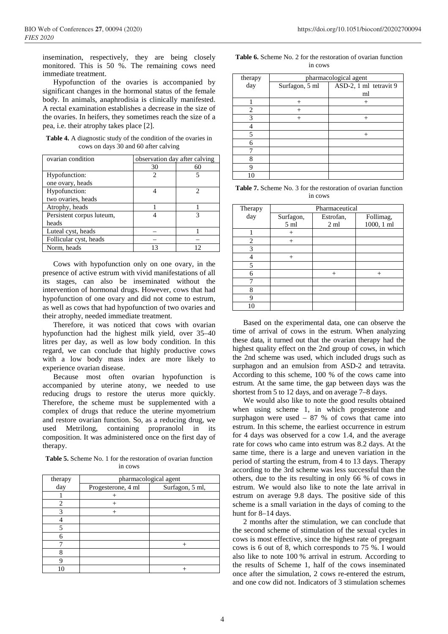insemination, respectively, they are being closely monitored. This is 50 %. The remaining cows need immediate treatment.

Hypofunction of the ovaries is accompanied by significant changes in the hormonal status of the female body. In animals, anaphrodisia is clinically manifested. A rectal examination establishes a decrease in the size of the ovaries. In heifers, they sometimes reach the size of a pea, i.e. their atrophy takes place [2].

**Table 4.** A diagnostic study of the condition of the ovaries in cows on days 30 and 60 after calving

| ovarian condition         | observation day after calving |    |
|---------------------------|-------------------------------|----|
|                           | 30                            | 60 |
| Hypofunction:             | 2                             |    |
| one ovary, heads          |                               |    |
| Hypofunction:             |                               | 2  |
| two ovaries, heads        |                               |    |
| Atrophy, heads            |                               |    |
| Persistent corpus luteum, |                               |    |
| heads                     |                               |    |
| Luteal cyst, heads        |                               |    |
| Follicular cyst, heads    |                               |    |
| Norm, heads               | 13                            | 12 |

Cows with hypofunction only on one ovary, in the presence of active estrum with vivid manifestations of all its stages, can also be inseminated without the intervention of hormonal drugs. However, cows that had hypofunction of one ovary and did not come to estrum, as well as cows that had hypofunction of two ovaries and their atrophy, needed immediate treatment.

Therefore, it was noticed that cows with ovarian hypofunction had the highest milk yield, over 35–40 litres per day, as well as low body condition. In this regard, we can conclude that highly productive cows with a low body mass index are more likely to experience ovarian disease.

Because most often ovarian hypofunction is accompanied by uterine atony, we needed to use reducing drugs to restore the uterus more quickly. Therefore, the scheme must be supplemented with a complex of drugs that reduce the uterine myometrium and restore ovarian function. So, as a reducing drug, we used Metrilong, containing propranolol in its composition. It was administered once on the first day of therapy.

**Table 5.** Scheme No. 1 for the restoration of ovarian function in cows

| therapy | pharmacological agent |                 |  |  |
|---------|-----------------------|-----------------|--|--|
| day     | Progesterone, 4 ml    | Surfagon, 5 ml, |  |  |
|         |                       |                 |  |  |
| 2       | $^{+}$                |                 |  |  |
| 3       |                       |                 |  |  |
|         |                       |                 |  |  |
| 5       |                       |                 |  |  |
| 6       |                       |                 |  |  |
|         |                       |                 |  |  |
|         |                       |                 |  |  |
|         |                       |                 |  |  |
| 10      |                       |                 |  |  |

| <b>Table 6.</b> Scheme No. 2 for the restoration of ovarian function |
|----------------------------------------------------------------------|
| 11 COWS                                                              |

| therapy | pharmacological agent |                        |  |  |  |  |  |
|---------|-----------------------|------------------------|--|--|--|--|--|
| day     | Surfagon, 5 ml        | ASD-2, 1 ml tetravit 9 |  |  |  |  |  |
|         |                       | ml                     |  |  |  |  |  |
|         | $^{+}$                | $^{+}$                 |  |  |  |  |  |
| 2       |                       |                        |  |  |  |  |  |
| 3       | $^{+}$                | $^{+}$                 |  |  |  |  |  |
|         |                       |                        |  |  |  |  |  |
| 5       |                       | $^{+}$                 |  |  |  |  |  |
| 6       |                       |                        |  |  |  |  |  |
|         |                       |                        |  |  |  |  |  |
| 8       |                       |                        |  |  |  |  |  |
| 9       |                       |                        |  |  |  |  |  |
|         |                       |                        |  |  |  |  |  |

**Table 7.** Scheme No. 3 for the restoration of ovarian function in cows

| Therapy | Pharmaceutical  |                |            |
|---------|-----------------|----------------|------------|
| day     | Surfagon,       | Estrofan,      | Follimag,  |
|         | 5 <sub>ml</sub> | $2 \text{ ml}$ | 1000, 1 ml |
|         | $^{+}$          |                |            |
| 2       | $^{+}$          |                |            |
| 3       |                 |                |            |
|         | $^{+}$          |                |            |
| 5       |                 |                |            |
| 6       |                 | $^{+}$         |            |
|         |                 |                |            |
| 8       |                 |                |            |
| 9       |                 |                |            |
| 10      |                 |                |            |

Based on the experimental data, one can observe the time of arrival of cows in the estrum. When analyzing these data, it turned out that the ovarian therapy had the highest quality effect on the 2nd group of cows, in which the 2nd scheme was used, which included drugs such as surphagon and an emulsion from ASD-2 and tetravita. According to this scheme, 100 % of the cows came into estrum. At the same time, the gap between days was the shortest from 5 to 12 days, and on average 7–8 days.

We would also like to note the good results obtained when using scheme 1, in which progesterone and surphagon were used  $-87%$  of cows that came into estrum. In this scheme, the earliest occurrence in estrum for 4 days was observed for a cow 1.4, and the average rate for cows who came into estrum was 8.2 days. At the same time, there is a large and uneven variation in the period of starting the estrum, from 4 to 13 days. Therapy according to the 3rd scheme was less successful than the others, due to the its resulting in only 66 % of cows in estrum. We would also like to note the late arrival in estrum on average 9.8 days. The positive side of this scheme is a small variation in the days of coming to the hunt for 8–14 days.

2 months after the stimulation, we can conclude that the second scheme of stimulation of the sexual cycles in cows is most effective, since the highest rate of pregnant cows is 6 out of 8, which corresponds to 75 %. I would also like to note 100 % arrival in estrum. According to the results of Scheme 1, half of the cows inseminated once after the simulation, 2 cows re-entered the estrum, and one cow did not. Indicators of 3 stimulation schemes